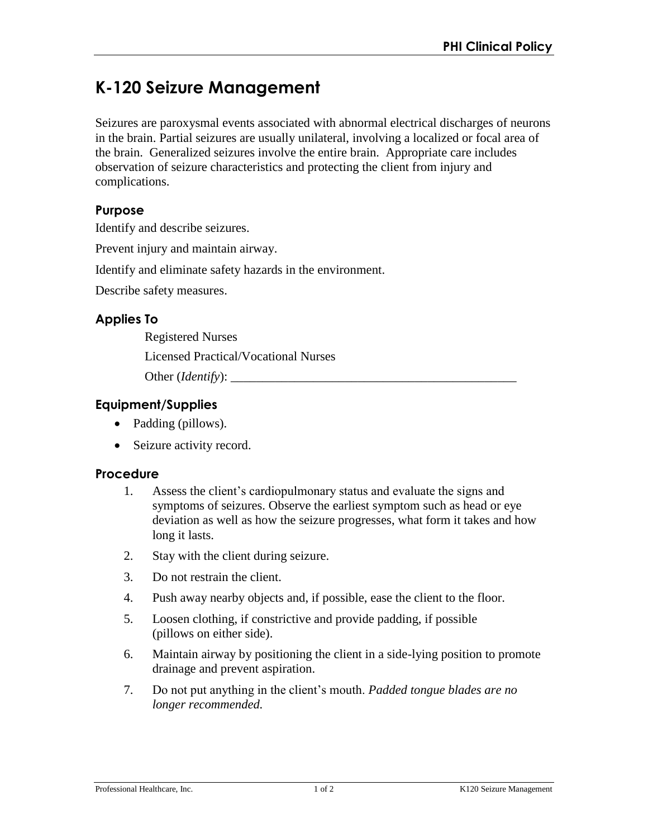# **K-120 Seizure Management**

Seizures are paroxysmal events associated with abnormal electrical discharges of neurons in the brain. Partial seizures are usually unilateral, involving a localized or focal area of the brain. Generalized seizures involve the entire brain. Appropriate care includes observation of seizure characteristics and protecting the client from injury and complications.

## **Purpose**

Identify and describe seizures.

Prevent injury and maintain airway.

Identify and eliminate safety hazards in the environment.

Describe safety measures.

# **Applies To**

Registered Nurses

Licensed Practical/Vocational Nurses

Other (*Identify*): \_\_\_\_\_\_\_\_\_\_\_\_\_\_\_\_\_\_\_\_\_\_\_\_\_\_\_\_\_\_\_\_\_\_\_\_\_\_\_\_\_\_\_\_\_

# **Equipment/Supplies**

- Padding (pillows).
- Seizure activity record.

#### **Procedure**

- 1. Assess the client's cardiopulmonary status and evaluate the signs and symptoms of seizures. Observe the earliest symptom such as head or eye deviation as well as how the seizure progresses, what form it takes and how long it lasts.
- 2. Stay with the client during seizure.
- 3. Do not restrain the client.
- 4. Push away nearby objects and, if possible, ease the client to the floor.
- 5. Loosen clothing, if constrictive and provide padding, if possible (pillows on either side).
- 6. Maintain airway by positioning the client in a side-lying position to promote drainage and prevent aspiration.
- 7. Do not put anything in the client's mouth. *Padded tongue blades are no longer recommended.*